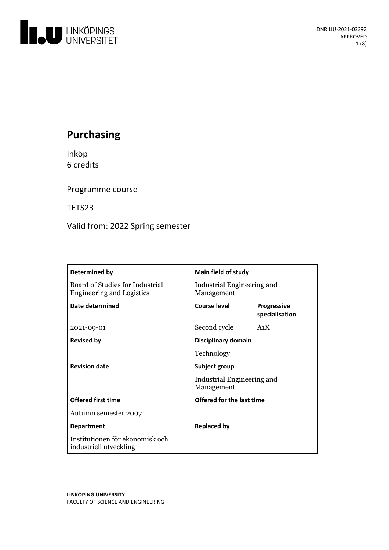

# **Purchasing**

Inköp 6 credits

Programme course

TETS23

Valid from: 2022 Spring semester

| Determined by                                                       | <b>Main field of study</b>                                |                                      |
|---------------------------------------------------------------------|-----------------------------------------------------------|--------------------------------------|
| Board of Studies for Industrial<br><b>Engineering and Logistics</b> | Industrial Engineering and<br>Management                  |                                      |
| Date determined                                                     | Course level                                              | <b>Progressive</b><br>specialisation |
| 2021-09-01                                                          | Second cycle                                              | A <sub>1</sub> X                     |
| <b>Revised by</b>                                                   | Disciplinary domain                                       |                                      |
|                                                                     | Technology                                                |                                      |
| <b>Revision date</b>                                                | Subject group<br>Industrial Engineering and<br>Management |                                      |
|                                                                     |                                                           |                                      |
| <b>Offered first time</b>                                           | Offered for the last time                                 |                                      |
| Autumn semester 2007                                                |                                                           |                                      |
| <b>Department</b>                                                   | <b>Replaced by</b>                                        |                                      |
| Institutionen för ekonomisk och<br>industriell utveckling           |                                                           |                                      |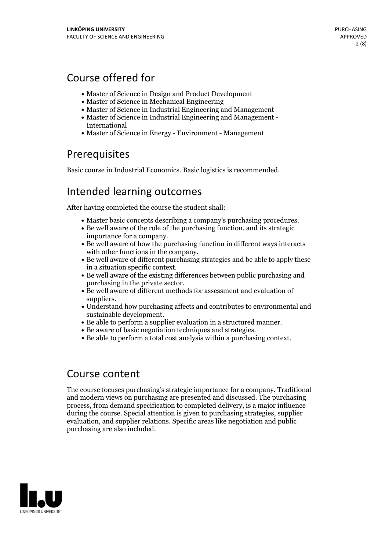# Course offered for

- Master of Science in Design and Product Development
- Master of Science in Mechanical Engineering
- Master of Science in Industrial Engineering and Management
- Master of Science in Industrial Engineering and Management International
- Master of Science in Energy Environment Management

## **Prerequisites**

Basic course in Industrial Economics. Basic logistics is recommended.

## Intended learning outcomes

After having completed the course the student shall:

- 
- Master basic concepts describing <sup>a</sup> company's purchasing procedures. Be well aware ofthe role of the purchasing function, and its strategic
- importance for a company.<br> $\bullet$  Be well aware of how the purchasing function in different ways interacts with other functions in the company.<br>• Be well aware of different purchasing strategies and be able to apply these
- 
- in a situation specific context.<br>• Be well aware of the existing differences between public purchasing and purchasing in the private sector.
- Be well aware of different methods for assessment and evaluation of
- suppliers.<br>• Understand how purchasing affects and contributes to environmental and
- sustainable development. Be able to perform <sup>a</sup> supplier evaluation in <sup>a</sup> structured manner. Be aware of basic negotiation techniques and strategies. Be able to perform <sup>a</sup> total cost analysis within <sup>a</sup> purchasing context.
- 
- 

## Course content

The course focuses purchasing's strategic importance for a company. Traditional and modern views on purchasing are presented and discussed. The purchasing process, from demand specification to completed delivery, is a major influence during the course. Special attention is given to purchasing strategies, supplier evaluation, and supplier relations. Specific areas like negotiation and public purchasing are also included.

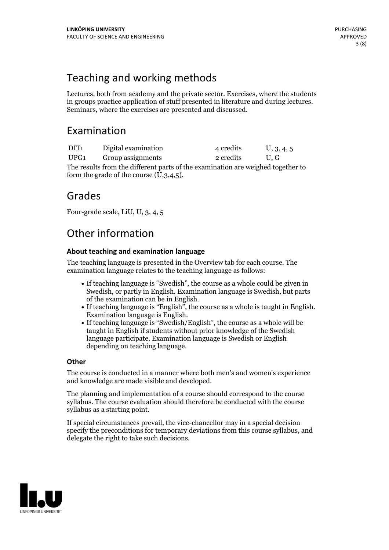# Teaching and working methods

Lectures, both from academy and the private sector. Exercises, where the students in groups practice application of stuff presented in literature and during lectures. Seminars, where the exercises are presented and discussed.

## Examination

| DIT <sub>1</sub>                                                                | Digital examination | 4 credits | U, 3, 4, 5    |  |
|---------------------------------------------------------------------------------|---------------------|-----------|---------------|--|
| UPG1                                                                            | Group assignments   | 2 credits | $U_{\rm L}$ G |  |
| The results from the different parts of the examination are weighed together to |                     |           |               |  |

nation are weighed together to form the grade of the course (U,3,4,5).

## Grades

Four-grade scale, LiU, U, 3, 4, 5

# Other information

## **About teaching and examination language**

The teaching language is presented in the Overview tab for each course. The examination language relates to the teaching language as follows:

- If teaching language is "Swedish", the course as a whole could be given in Swedish, or partly in English. Examination language is Swedish, but parts
- If teaching language is "English", the course as a whole is taught in English. Examination language is English. If teaching language is "Swedish/English", the course as a whole will be
- taught in English if students without prior knowledge of the Swedish language participate. Examination language is Swedish or English depending on teaching language.

## **Other**

The course is conducted in a manner where both men's and women's experience and knowledge are made visible and developed.

The planning and implementation of a course should correspond to the course syllabus. The course evaluation should therefore be conducted with the course syllabus as a starting point.

If special circumstances prevail, the vice-chancellor may in a special decision specify the preconditions for temporary deviations from this course syllabus, and delegate the right to take such decisions.

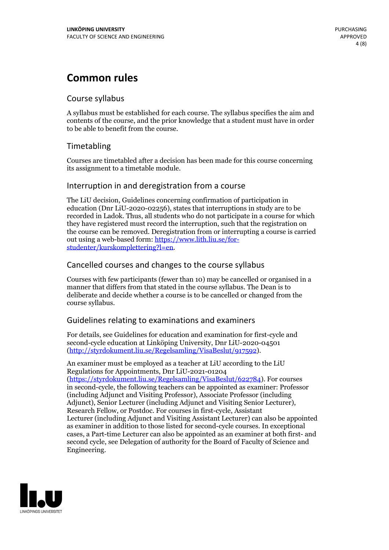# **Common rules**

### Course syllabus

A syllabus must be established for each course. The syllabus specifies the aim and contents of the course, and the prior knowledge that a student must have in order to be able to benefit from the course.

## Timetabling

Courses are timetabled after a decision has been made for this course concerning its assignment to a timetable module.

### Interruption in and deregistration from a course

The LiU decision, Guidelines concerning confirmation of participation in education (Dnr LiU-2020-02256), states that interruptions in study are to be recorded in Ladok. Thus, all students who do not participate in a course for which they have registered must record the interruption, such that the registration on the course can be removed. Deregistration from or interrupting a course is carried out using <sup>a</sup> web-based form: https://www.lith.liu.se/for- [studenter/kurskomplettering?l=en.](https://www.lith.liu.se/for-studenter/kurskomplettering?l=en)

## Cancelled courses and changes to the course syllabus

Courses with few participants (fewer than 10) may be cancelled or organised in a manner that differs from that stated in the course syllabus. The Dean is to deliberate and decide whether a course is to be cancelled or changed from the course syllabus.

## Guidelines relating to examinations and examiners

For details, see Guidelines for education and examination for first-cycle and second-cycle education at Linköping University, Dnr LiU-2020-04501 [\(http://styrdokument.liu.se/Regelsamling/VisaBeslut/917592\)](http://styrdokument.liu.se/Regelsamling/VisaBeslut/917592).

An examiner must be employed as a teacher at LiU according to the LiU Regulations for Appointments, Dnr LiU-2021-01204 [\(https://styrdokument.liu.se/Regelsamling/VisaBeslut/622784](https://styrdokument.liu.se/Regelsamling/VisaBeslut/622784)). For courses in second-cycle, the following teachers can be appointed as examiner: Professor (including Adjunct and Visiting Professor), Associate Professor (including Adjunct), Senior Lecturer (including Adjunct and Visiting Senior Lecturer), Research Fellow, or Postdoc. For courses in first-cycle, Assistant Lecturer (including Adjunct and Visiting Assistant Lecturer) can also be appointed as examiner in addition to those listed for second-cycle courses. In exceptional cases, a Part-time Lecturer can also be appointed as an examiner at both first- and second cycle, see Delegation of authority for the Board of Faculty of Science and Engineering.

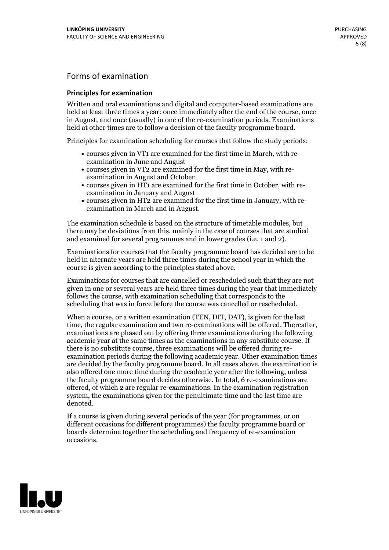## Forms of examination

#### **Principles for examination**

Written and oral examinations and digital and computer-based examinations are held at least three times a year: once immediately after the end of the course, once in August, and once (usually) in one of the re-examination periods. Examinations held at other times are to follow a decision of the faculty programme board.

Principles for examination scheduling for courses that follow the study periods:

- courses given in VT1 are examined for the first time in March, with re-examination in June and August
- courses given in VT2 are examined for the first time in May, with re-examination in August and October
- courses given in HT1 are examined for the first time in October, with re-examination in January and August
- courses given in HT2 are examined for the first time in January, with re-examination in March and in August.

The examination schedule is based on the structure of timetable modules, but there may be deviations from this, mainly in the case of courses that are studied and examined for several programmes and in lower grades (i.e. 1 and 2).

Examinations for courses that the faculty programme board has decided are to be held in alternate years are held three times during the school year in which the course is given according to the principles stated above.

Examinations for courses that are cancelled orrescheduled such that they are not given in one or several years are held three times during the year that immediately follows the course, with examination scheduling that corresponds to the scheduling that was in force before the course was cancelled or rescheduled.

When a course, or a written examination (TEN, DIT, DAT), is given for the last time, the regular examination and two re-examinations will be offered. Thereafter, examinations are phased out by offering three examinations during the following academic year at the same times as the examinations in any substitute course. If there is no substitute course, three examinations will be offered during re- examination periods during the following academic year. Other examination times are decided by the faculty programme board. In all cases above, the examination is also offered one more time during the academic year after the following, unless the faculty programme board decides otherwise. In total, 6 re-examinations are offered, of which 2 are regular re-examinations. In the examination registration system, the examinations given for the penultimate time and the last time are denoted.

If a course is given during several periods of the year (for programmes, or on different occasions for different programmes) the faculty programme board or boards determine together the scheduling and frequency of re-examination occasions.

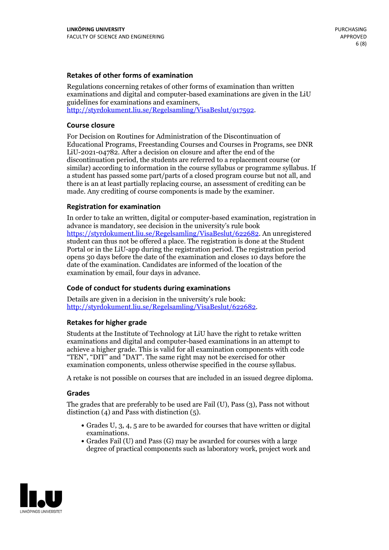#### **Retakes of other forms of examination**

Regulations concerning retakes of other forms of examination than written examinations and digital and computer-based examinations are given in the LiU guidelines for examinations and examiners, [http://styrdokument.liu.se/Regelsamling/VisaBeslut/917592.](http://styrdokument.liu.se/Regelsamling/VisaBeslut/917592)

#### **Course closure**

For Decision on Routines for Administration of the Discontinuation of Educational Programs, Freestanding Courses and Courses in Programs, see DNR LiU-2021-04782. After a decision on closure and after the end of the discontinuation period, the students are referred to a replacement course (or similar) according to information in the course syllabus or programme syllabus. If a student has passed some part/parts of a closed program course but not all, and there is an at least partially replacing course, an assessment of crediting can be made. Any crediting of course components is made by the examiner.

#### **Registration for examination**

In order to take an written, digital or computer-based examination, registration in advance is mandatory, see decision in the university's rule book [https://styrdokument.liu.se/Regelsamling/VisaBeslut/622682.](https://styrdokument.liu.se/Regelsamling/VisaBeslut/622682) An unregistered student can thus not be offered a place. The registration is done at the Student Portal or in the LiU-app during the registration period. The registration period opens 30 days before the date of the examination and closes 10 days before the date of the examination. Candidates are informed of the location of the examination by email, four days in advance.

### **Code of conduct for students during examinations**

Details are given in a decision in the university's rule book: <http://styrdokument.liu.se/Regelsamling/VisaBeslut/622682>.

#### **Retakes for higher grade**

Students at the Institute of Technology at LiU have the right to retake written examinations and digital and computer-based examinations in an attempt to achieve a higher grade. This is valid for all examination components with code "TEN", "DIT" and "DAT". The same right may not be exercised for other examination components, unless otherwise specified in the course syllabus.

A retake is not possible on courses that are included in an issued degree diploma.

#### **Grades**

The grades that are preferably to be used are Fail (U), Pass (3), Pass not without distinction  $(4)$  and Pass with distinction  $(5)$ .

- Grades U, 3, 4, 5 are to be awarded for courses that have written or digital examinations.<br>• Grades Fail (U) and Pass (G) may be awarded for courses with a large
- degree of practical components such as laboratory work, project work and

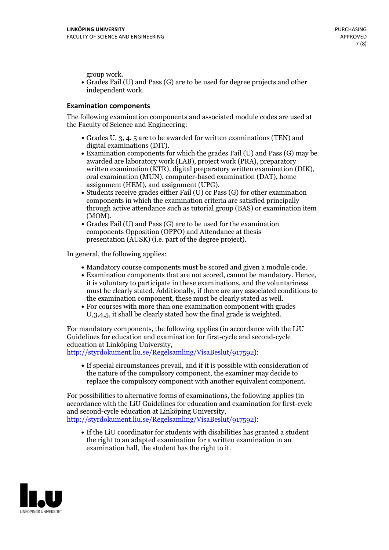group work.<br>• Grades Fail (U) and Pass (G) are to be used for degree projects and other independent work.

#### **Examination components**

The following examination components and associated module codes are used at the Faculty of Science and Engineering:

- Grades U, 3, 4, 5 are to be awarded for written examinations (TEN) and
- digital examinations (DIT).<br>• Examination components for which the grades Fail (U) and Pass (G) may be awarded are laboratory work (LAB), project work (PRA), preparatory written examination (KTR), digital preparatory written examination (DIK), oral examination (MUN), computer-based examination (DAT), home
- assignment (HEM), and assignment (UPG).<br>• Students receive grades either Fail (U) or Pass (G) for other examination components in which the examination criteria are satisfied principally through active attendance such as tutorial group (BAS) or examination item
- (MOM).<br>• Grades Fail (U) and Pass (G) are to be used for the examination components Opposition (OPPO) and Attendance at thesis presentation (AUSK) (i.e. part of the degree project).

In general, the following applies:

- 
- Mandatory course components must be scored and given <sup>a</sup> module code. Examination components that are not scored, cannot be mandatory. Hence, it is voluntary to participate in these examinations, and the voluntariness must be clearly stated. Additionally, if there are any associated conditions to
- the examination component, these must be clearly stated as well.<br>• For courses with more than one examination component with grades U,3,4,5, it shall be clearly stated how the final grade is weighted.

For mandatory components, the following applies (in accordance with the LiU Guidelines for education and examination for first-cycle and second-cycle education at Linköping University,<br>[http://styrdokument.liu.se/Regelsamling/VisaBeslut/917592\)](http://styrdokument.liu.se/Regelsamling/VisaBeslut/917592):

If special circumstances prevail, and if it is possible with consideration of the nature of the compulsory component, the examiner may decide to replace the compulsory component with another equivalent component.

For possibilities to alternative forms of examinations, the following applies (in accordance with the LiU Guidelines for education and examination for first-cycle [http://styrdokument.liu.se/Regelsamling/VisaBeslut/917592\)](http://styrdokument.liu.se/Regelsamling/VisaBeslut/917592):

If the LiU coordinator for students with disabilities has granted a student the right to an adapted examination for a written examination in an examination hall, the student has the right to it.